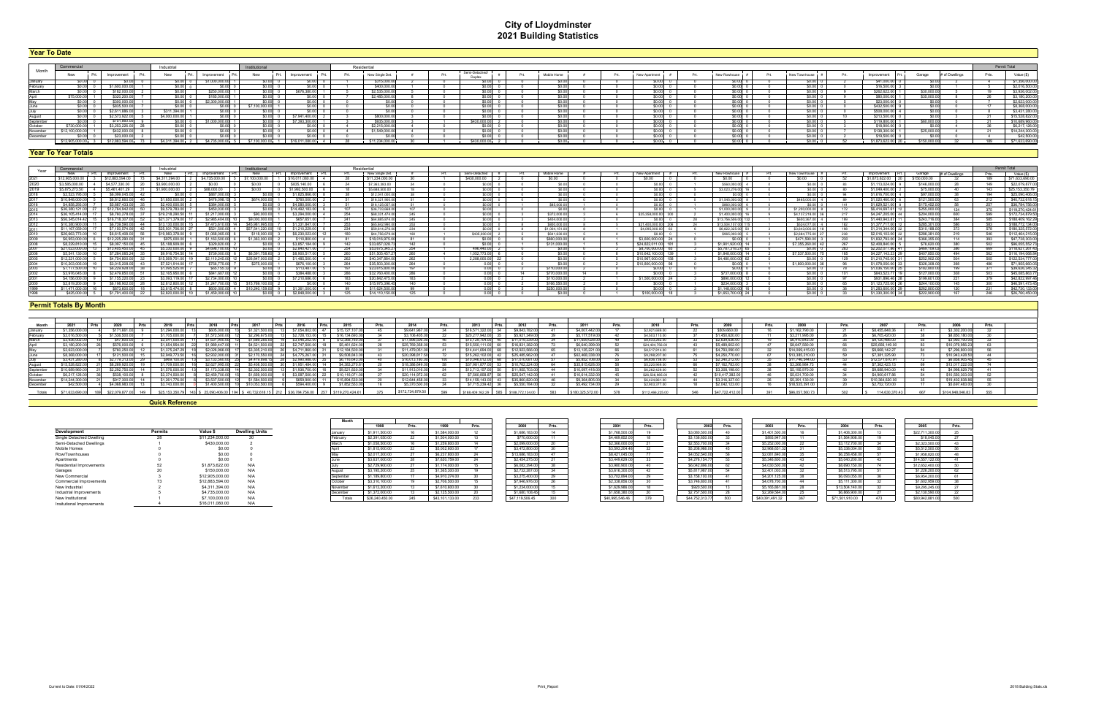# **City of Lloydminster 2021 Building Statistics**

### **Year To Date**

#### **Year To Year Totals**

| <b>Tear To Date</b> |                                   |               |                |                  |                  |                 |                 |  |                          |       |            |      |               |      |               |                |                |              |                |       |                 |
|---------------------|-----------------------------------|---------------|----------------|------------------|------------------|-----------------|-----------------|--|--------------------------|-------|------------|------|---------------|------|---------------|----------------|----------------|--------------|----------------|-------|-----------------|
|                     |                                   |               |                |                  |                  |                 |                 |  |                          |       |            |      |               |      |               |                |                |              |                |       |                 |
|                     |                                   |               | Industrial     |                  | Institutional    |                 | Residentia      |  |                          |       |            |      |               |      |               |                |                |              |                |       | Permit Total    |
| Month               | New                               | Improvement   | New            | Improvement      | New              | Improvement     | New Single Det. |  | Semi-Detached/<br>Dunley | - Fru | Mobile Hom | Prt. | New Apartment | Prt. | New Rowhouse  | New Townhouse  | Improvement    | Garage       | # of Dwellings | Prts. | Value (\$)      |
| January             |                                   |               | 60.OO          | \$1,000,000.00   | 50.00 O          | 0.00L           | \$315,000.00    |  | 30 OO U                  |       |            |      |               |      | <b>SO OOL</b> | 0.00 L         | \$41,000.00    |              |                |       | \$1,356,000.0   |
| February            |                                   | \$1,600,000   |                |                  |                  |                 | \$400,000.0     |  |                          |       |            |      |               |      | <b>SO.OO</b>  | 50.OO F        | \$16,500.00    |              |                |       | \$2,016,500.0   |
| March               |                                   |               |                | \$250,000.00     | ∪.∪∪. ∪          |                 | \$2,535,000.    |  |                          |       |            |      |               |      | \$0.00        | SO.OO (        | \$262,622.00   | \$30,000     |                |       | \$3,936,002.0   |
| Anril               | \$75,000.                         |               |                | \$185,000.00     |                  | ונאז נ          | \$2,485,000     |  |                          |       |            |      |               |      | \$0.00        | S0.00          | \$80,000.00    | \$35,000.0   |                |       | \$3,180,200.0   |
| Mav                 |                                   | \$300 O       |                | 2.300.000.       |                  | וחח ר           |                 |  |                          |       |            |      |               |      | \$0.00        | $-0.00$ $r$    | \$23,000.00    |              |                |       | \$2,623,000.0   |
| June.               |                                   | \$835,500     |                |                  | 37.100.000.00    | ומס כ           |                 |  | .00L                     |       |            |      |               |      | 50.00 L       | 00 O           | \$432,500.00   |              |                |       | \$8,368,000.0   |
| July                |                                   | \$2.611.886.0 | \$311,394.00   |                  |                  |                 |                 |  | ונאז נז                  |       |            |      |               |      | <b>SO OOL</b> | 60. OO L       | \$508,000.00   |              |                |       | \$3,431,280.0   |
| August              |                                   | \$2,573,922.0 | \$4,000,000.00 |                  | - 0              | \$7,941,400     | \$800,000.0     |  |                          |       |            |      |               |      | <b>SO.OO</b>  | S0.00 I        | 3213,500.00 €  |              |                |       | \$15,528,822.0  |
| September           |                                   | \$751.860.    |                | 1.000.000.00     | . .              | \$7,393,300.00  | \$935,000.00    |  | \$430,000.0              |       |            |      |               |      | <b>SO.OO</b>  | $$0.00$ $$$    | \$119,800.00   | \$60,000.    |                |       | \$10,689,960.0  |
| October             |                                   | \$3 253 22    |                |                  |                  |                 |                 |  |                          |       |            |      |               |      | \$0.00        | 60.00 (        | \$18,900.      |              |                |       | \$6,217,126.0   |
| November            | \$12,100,000                      |               |                |                  |                  | וחח ר           | \$1,549,000.    |  |                          |       |            |      |               |      | \$0.00        | $-0.00$ $\sim$ | \$138,300.00   | \$25,000.0   |                |       | \$14,244,300.0  |
| December            |                                   |               |                |                  |                  | ו חחו           |                 |  |                          |       |            |      |               |      | \$0.00        |                | \$19,500       |              |                |       | \$42,500.0      |
|                     | \$12,905,000.00 3 \$12,883,594.00 |               | \$4,311,394.00 | \$4,735,000.00 5 | \$7,100,000.00 1 | \$16.011.080.00 | \$11,234,000.00 |  | \$430,000,00             |       |            |      |               |      | \$0.00        | 0.00 0         | \$1,873,622,00 | \$150,000,00 |                |       | \$71,633,690.00 |
|                     |                                   |               |                |                  |                  |                 |                 |  |                          |       |            |      |               |      |               |                |                |              |                |       |                 |

### **Permit Totals By Month**

|                 |                    | Industrial      |                   |                | Institutional   |                 |      | Residential     |            |     |                     |               |  |                       |                    |                  |       |                   |              |                |      | Permit Total     |
|-----------------|--------------------|-----------------|-------------------|----------------|-----------------|-----------------|------|-----------------|------------|-----|---------------------|---------------|--|-----------------------|--------------------|------------------|-------|-------------------|--------------|----------------|------|------------------|
| New             | Prt. I Improvement | New             | Improvement       |                | New             | Improvement     |      | New Single Det. |            | Prt | Semi-Detached       | Mobile Home   |  | New Apartment         | New Rowhouse #     | New Townhouse #  |       | Improvement       | Garage       | # of Dwellings |      | Value (\$)       |
| \$12,905,000.00 | \$12,883,594,00    |                 |                   |                |                 |                 |      | \$11,234,000.00 |            |     | \$430,000.00        |               |  | SO 00.                | \$0.00             | \$0.00           |       | \$1.873.622.00    | \$150,000.00 |                | 189  | \$71,633,690.00  |
| \$3,585,000,00  | 4 \$4,577,330.00   | \$3,900,000.00  |                   |                | \$0.00          | \$835 140 00    |      | \$7,363,383,00  |            |     | $$0.00$ 0           |               |  | $$0.00 \quad 0$       | \$560,000,00       | an na            |       | \$1.113.024.00    | \$146,000.00 |                | 149  | \$22,079,877.00  |
|                 | \$5,461,4013       | \$1,900,000.00  | \$88,000.00       |                |                 | \$1,992,500.00  |      | \$5,688,500,00  |            |     |                     |               |  |                       | \$3.023.276.00     |                  |       | \$1,049,400.00    | \$75,000.    |                | 143  | \$25,153,350.79  |
| \$2,523,795,00  | \$6,099,045,00     | \$0.00 0        | \$887,000         |                | sn nni          | \$1,825,866.0   |      | \$12,041,000.0  |            |     | $\frac{1}{20.00}$ n |               |  | so ool o              | SO OOL             | :n nn L          |       | \$1,616,700.00    | \$97,000.0   |                | 194  | \$25,090,406.00  |
| \$10,848,000.0  | \$6,812,660.0      | \$1,650,000.00  |                   | \$476,098.15   | \$674,000.00    | \$760,000       |      | \$16,321,900.0  |            |     | $$0.00$ 0           |               |  | n Inna                | \$1,545,000.00     | \$465,000,00     |       | \$1,020,460.00    | \$121,500.0  |                | 212  | \$40,732,618.15  |
| \$4 858 293 00  | \$5 687 433 00     | \$2,400,000.00  | \$384,000         |                | ו חח            | \$4,580,000     |      | \$16,125,057.   |            |     | $$0.00$ 0           | \$85,000.0    |  | 0.00 Q                | \$860,000.00       |                  | 141   | \$1.629.521.00    | \$175,452.0  |                |      | \$36,784,756.00  |
| \$36,380,121,00 | \$12,764,942.00    | \$9,579,783.00  | \$450,030         |                | \$0.00 0        | \$14,492,183,00 |      | \$36,733,668.0  |            |     |                     |               |  | $0.00 \qquad 0$       | \$1,000,000,00     | \$1,200,000.00   |       | \$6,414,697.61    | \$255,000.0  |                |      | \$119,270,424.61 |
| \$36,105,414.00 |                    | \$19,218,290.5  | \$1,217,000.      |                | \$90,000.00     | \$3,294,000     | -254 | \$68,331,474.0  | 245        |     | $$0.00$ 0           | \$372,000.0   |  | \$25.358.000.00 300   | \$1,400,000.00     | \$4,137,218,00   | 217   | \$4,247,205,00 44 | \$204,000.   |                | 599  | \$172,734,879.50 |
| \$56 345 014 42 | \$16,718,307       |                 | \$2,985,404.00    |                | :a nnn nnn nr   | \$657 651 00    |      | \$64 885 874 0  | 245        |     | $$0.00$ 0           | \$404,000.0   |  | $$0.001$ 0            | \$13,756,506,00 13 | \$600.367.00     | 199   | \$1,440,943.87    | \$243,716.0  |                | 585  | \$188,409,162.29 |
| \$10,380,900.1  |                    | \$13,130,000.0  | <b>C7 473 610</b> |                |                 | \$1,331,847     |      | \$65,842,990.0  | <b>OFO</b> |     | nn ns               | SROD 000 C    |  | $$21,400,000,00]$ 206 | \$13,504,107.00 11 | \$524.077.00     | 192   | \$1,377,717,00    | \$285,301    |                | 583  | \$188,772,134.00 |
| \$11 167 059 00 | \$7 150 574 00     | \$25,931,706.00 | \$521.500.        |                | \$57 541 220 00 | \$1.210.229.00  |      | \$59,614,276.0  | 234        |     | \$0.00 0            | \$1,004,151.0 |  | \$4,095,000,00 63     | \$6,822,325,00     | \$3,643,000.00 1 | 198   | \$1,314,344.00    | \$310,188.P  |                | 578  | \$180,325,572.00 |
| \$26,663,773,00 | \$6,615,408,00     | \$19,983,378.00 | \$1,068,065       |                | \$118,000.00    | \$6,230,023,00  |      | \$44 756 679 0  |            |     | \$435,000,00        | \$641,630.0   |  |                       | \$965,000.00       | \$2,684,775,00   | 238   | \$2,016,103.00    | \$286,381.0  |                | 546  | \$112,464,215.00 |
| \$6,953,000,00  | \$12,225,290.00    | \$975,000,00    | \$1,163,500       |                | \$1,363,000.00  | \$110,800       |      | \$18,016,975.0  |            |     | ומס כ               | \$660,000.0   |  | \$3,600,000,00 24     |                    | \$471,590.0      |       | \$1,832,793,00    | \$366,355.   |                |      | \$47,738,303.00  |
| SR 229 810 0    |                    | 55 188 909 0    | \$329,820         |                |                 |                 |      | \$33 657 028    |            |     | nni                 | \$131,000     |  | \$24 822 011 00 181   | \$1,901,920.00     | \$7,355,260,00   |       | \$2,408,840,00    | \$76,620.    |                |      | \$96,055,552,73  |
|                 | \$13,405.450       |                 |                   |                | הח הה           |                 |      | \$53,675,345.   | 254        |     | 496.440.00          |               |  | 65<br>\$8,700,000,00  | \$5,787,318,27     |                  |       | \$2,202,077.86 4  | \$469,109.   |                | 669  | \$118,627,261.43 |
| \$5,541,130.0   |                    | \$9,916,754.50  | \$739,000.        |                |                 | \$8,900,517     |      | \$51,505,457.2  |            |     | 1.052.773.00        |               |  | \$10.642.100.00 139   | \$1,848,000.00     | \$7,537,500,00   |       | \$4,227,143,23    | \$407,850.   |                | 562  | \$116,194,068.84 |
|                 |                    |                 |                   | \$2 110 245 00 | \$26,847,000.0  | \$1 485 500     |      | \$40,347,884.0  |            |     | 2.288.000.00        |               |  | \$10.967.000.00 158   | \$4,480,000.00     | י וחחו           | - 129 | \$1,210,745.00    | \$252,902.0  |                | 505  | \$122,534,777.00 |
| \$10,203,005,00 | 83 015 208 05      | \$7,521,914.00  |                   |                | \$275,000,00    | \$676.100.00    |      | \$35,503,300.00 |            |     | 0.00 0              |               |  | \$10,800,000,00 98    | \$0.00             | \$1,800,000,00 3 |       | \$1,078,050.00 3  | \$326,308.0  |                | 486  | \$71,955,660.05  |
| \$7 177 500 0   | \$6,229,928.00     | \$1,095,525,00  |                   | \$65 155 32    |                 | \$113,487.      |      | \$23,615,800.00 |            |     | ה וחחו              | \$110,000.0   |  | 0 00 0 ق              |                    |                  |       | \$1,036,150.00    | \$182,800.00 |                | 371  | \$39,626,345.32  |
| \$3,976,045.00  | \$2.479.850.00     | \$2,165,950.00  | \$841.607         |                | ח וחחות         | \$384,488       |      | \$32,760,400.0  |            |     | 0.00 0.             | \$770,000.0   |  | 30.00L 0              | \$737,000.00       |                  |       | \$843,523.77      | \$127,000.0  |                |      | \$45,085,863.77  |
| \$4 156 000 1   |                    |                 |                   |                |                 |                 |      | \$20 842 475 1  |            |     | nn                  | \$110,000     |  | \$1,500,000,00 24     | \$890,000,00       |                  |       | \$931 896 46      | \$199,601    |                |      | \$42,822,997.46  |
|                 |                    | \$2,812,800.0   |                   |                |                 |                 |      | \$15,975,396.4  | 140        |     | n nn n              | \$166,550     |  | 60.00 O               | \$234,000.00       | י וחחו           |       | \$1.123.725.00    | \$244,100.   |                | 300  | \$46,591,473.45  |
| \$11 471 000 00 | \$873,600,00       | \$3 615 474 00  |                   | \$600,000,00   |                 | \$1,361,000.0   |      | \$11,624,500.0  |            |     | ו חס נ              | \$250,000.0   |  | S0.00 0               | \$1,148,000.00     | 0.00 C           |       | \$1,283,600.00    | \$262,800.   |                | -231 | \$42,730,133.00  |
|                 | \$1 791 400 00     | \$2,820,000,00  |                   | \$1 459,000.00 | \$0.00 0        | \$2,848,000.00  |      | \$14 110 150 00 | 125        |     | 0.00 0              |               |  | \$100,000.00          | \$1,653,700.00     | SO 00 0          |       | \$1,330,300,00 3  | \$222,900.00 |                | 246  | \$26,760,450.00  |
|                 |                    |                 |                   |                |                 |                 |      |                 |            |     |                     |               |  |                       |                    |                  |       |                   |              |                |      |                  |

| Month   |                | <b>Prts</b> | 2020            |                |      |                      |                  | -2016              | i Pris | - 2015         | 2014           | Prts | 2013            |            |                     | -2011            | -2010            | Prts. |                | Prts. |                 |                 | PITS. |                   |  |
|---------|----------------|-------------|-----------------|----------------|------|----------------------|------------------|--------------------|--------|----------------|----------------|------|-----------------|------------|---------------------|------------------|------------------|-------|----------------|-------|-----------------|-----------------|-------|-------------------|--|
| January | \$1,356,000.00 |             | \$171 661 00    | \$1,294,000.   |      | - 5605.000.00        | \$1.321.500.00   | \$7,054,802.00     |        | \$15,727,10    | \$9,641,967    |      | \$16,571,322.00 |            | \$9 843 782         | \$4,007,442.0    | \$2,921,689.00   |       | - 5509 660 0   |       | \$1.162.790.0   | \$8 455 848 36  |       | \$3,302,200.0     |  |
| ebruarv |                |             | 1 536 501       | 1705.0         |      |                      |                  |                    |        | \$16 134       | \$3 106 405    |      | \$20.2          |            | \$5,921             |                  | \$4,503,110.00   |       | \$1450.620     |       | \$3.211.995     | S6 705 420 00   |       | \$8,850,180.1     |  |
|         | \$3,936,002    |             | \$47,600.0      | \$3,541,000.   |      | 1.631.900.0          | \$1,689,285      | \$3,046,202.       |        | \$12,368.76    | \$17,896,506.0 |      | \$15,129,704.0  |            | \$11,019,339        | \$11,659,028.00  | \$8,633,282.00   |       | \$2,639,636.0  |       | \$6,410,843     | \$9,120,486.00  |       | \$3,950,100.0     |  |
|         |                |             | \$576,000       | \$1,654,954.   |      | \$1.989.447.         | \$4,521,500      | -2,747,500.00      |        | \$5.461.624.   | \$25,769,358.0 |      | \$15,550.1      |            | \$16,831.3          | \$6,640,399.0    | \$24,404,756.00  |       | \$5,489,602.   |       | \$8,647,580.    | \$25,656,149.00 |       | \$10.079.956.2    |  |
|         | \$2,623,000    |             | \$760.250       | \$1,375,247.29 |      | \$2.026.966.0        |                  | \$4,711,860.00     |        | \$12 184 50    | \$11,479,051.0 |      | \$14 441 694 0  |            | \$12,923,566        | \$13.135.221.00  | \$8,517,814.00   |       | \$4,793,090.   |       | \$14,069,415.   | \$9,668,142.2   |       | \$7,296,800.0     |  |
|         | SR 368.0       |             | - 8121.500.00   | \$2,949.7      |      |                      |                  |                    |        | \$9,508,843    | 398 817        |      | <b>C15.2</b>    |            | \$25,485,962        | \$62 468 338 0   | \$9,298,207.00   |       |                |       | 13.385.21       | \$7.381.325.90  |       | \$10 943 428 5    |  |
|         | \$3,431,280,00 |             | \$2,779,313     | \$969 100 0    |      | \$3,133,560.0        | \$4 419 898 1    | \$2,990,988.00 Jul |        | \$6 116 643    | \$16.013.180.0 |      | \$10,046,012.00 |            | \$17,070,081        | \$5 852 708 00   | \$6.836.736.00   |       | \$2,340,212    |       | 11.746.544.0    | \$12,571,670,91 |       | \$6 858 905 45    |  |
|         | \$15,528,8221  |             | \$8.269.920     | \$1,709,000    |      | $\leq$ 627 995 00    | \$5,408,500      | 81.951,484.00      |        | \$4,383.27     | \$18,386,649.0 |      | \$37,981,877    |            | $$10.762.224$ (iii) | \$35 815 628 00  | \$5 220 969 00   |       | \$7 162 783    |       | \$3,266,984     | \$7,362,423.12  |       | \$13,017,2221     |  |
|         | \$10,689,960   |             | - 32.292.750.00 | \$1,576,000.00 |      | 173.3380             | \$2.302.500.00   | \$1,936,700.00     |        | \$9,521,830    | \$11 913 016   |      | \$13 713 157 00 | \$11,955.7 |                     | \$10,097,418,00  | \$6,262,429.00   |       | \$3,308,198.0  |       | \$5 195 970     | \$9,688,940,00  |       | <b>24 998 629</b> |  |
|         | \$6,217,126,00 |             | \$538.100.      | \$3,374,500.00 |      | \$2.459,700.0        | - \$1,659,000.00 | \$3,587,500.00     |        | \$10,116,071.0 | \$20,114,972.0 |      | 7.560.858.87    |            | \$25,547,142.       | \$10.614.332.0   | \$26,536,985.00  |       | \$10,417,382.0 |       | \$5.031.700.    | \$4,900,617.86  |       | \$10,550,303.0    |  |
| lovembe | \$14 244 300   |             | \$917,300       | \$1,261,776.0  |      | \$3.537.500.0        | \$1,584,500      | \$659,900.00       |        | \$15,894.53    | \$12,644.458.0 |      | \$14.159.143.00 |            | \$35,860,820        | \$9,364,805.0    | \$6,424,861.00   |       | \$3,316,327.00 |       | - \$5,391,130.0 | \$10.364.620.00 |       | \$19,402,838.8    |  |
| Decembe | \$42,500.      |             | \$4 068 983     | \$3,743,000.00 |      | 1 400.50             |                  | \$594.400.0        |        | \$1,852.5      |                |      |                 |            | \$5.55U./           | \$5,492,734      | \$2,903,377.0    |       | \$2,042,123.0  |       | \$18,535.39     | \$2,752,720.00  |       |                   |  |
|         |                |             |                 | \$25 153 35    | 143: | 25.090.406.00 194 \$ | 40 732 618 15    |                    |        |                | \$172,734,879. |      |                 |            |                     | \$180.325.572.00 | \$112,466,225.00 | 546   | \$47.722.412.0 |       | \$96,057,560    | 114 630 370 43  | 667   | \$104.948.046.83  |  |
|         |                |             |                 |                |      |                      |                  |                    |        |                |                |      |                 |            |                     |                  |                  |       |                |       |                 |                 |       |                   |  |

| 1998      | Prts. | 1999            | Prts. | 2000            | Prts.  | 2001            | Prts. | 2002            | Prts. | 2003            | Prts. | 2004            | Prts. | 2005            | Prts |
|-----------|-------|-----------------|-------|-----------------|--------|-----------------|-------|-----------------|-------|-----------------|-------|-----------------|-------|-----------------|------|
| 1,500.00  |       | \$1,584,000.00  |       | \$1,686,183.00  | 14     | \$1,768,500.00  |       | \$3,080,500.00  |       | \$1,401,500.00  |       | \$1.408.300.00  |       | \$22,711,300.00 |      |
| 1,050.00  | 22    | \$1,504,000.00  |       | \$770,000.00    | 44     | \$4,469,852.00  |       | \$3,136,650.00  |       | \$893,947.00    |       | \$1,564,908.00  | 19    | \$18,045.00     |      |
| 58,500.00 |       | \$1,259,800.00  | 14    | \$2,099,000.00  | 20     | \$2,366,000.00  |       | \$2,553,700.00  |       | \$5,252,000.00  | 22    | \$3,112,700.00  | 34    | \$2,323,500.00  |      |
| 5,000.00  | 22    | \$5,002,600.00  |       | \$3,472,800.00  | 30     | \$3,593,204.46  | 32    | \$5,208,986.00  |       | \$2,968,651.32  |       | \$5,338,004.00  | 55    | \$5,512,500.00  |      |
| 7,200.00  | 27    | \$6,237,800.00  | 24    | \$13,686,183.00 |        | \$8,421,045.00  |       | \$4,052,540.00  |       | \$2,081,840.00  |       | \$6,258,458.00  | 57    | \$1,958,820.0   |      |
| 7,000.00  | 28    | \$7,620,759.00  | 24    | \$2,454,275.00  | 24     | \$3,449,629.00  |       | \$4,276,154,77  |       | \$5,346,800.00  |       | \$5,040,200.00  | 43    | \$14,557,122.0  |      |
| 29.900.00 | 27    | \$1,174,000.00  |       | \$6,082,294.00  | 38     | \$3,980,900.00  |       | \$6,042,896.00  |       | \$4,030,500.00  |       | \$8,690,150.00  | 74    | \$12,652,400.0  |      |
| 5.200.00  | 25    | \$1,365,300.00  |       | \$2,732,287.00  | 34     | \$3,616,300.00  | 42    | \$5,817,987.00  | r s   | \$2,401,003.00  | 32    | \$8,513,795.00  | 51    | \$1,226,200.00  |      |
| 89,800.00 |       | \$4,910,274.00  |       | \$3,275,400.00  | 29     | \$3,702,894.00  |       | \$3,158,100.00  |       | \$4,201,125.00  | -SO.  | \$6,093,055.00  | 36    | \$6,954,200.00  |      |
| 0,100.00  |       | \$2,706,500.00  |       | \$7,946,976.00  | $\sim$ | \$2,338,856.00  |       | \$3,746,800.00  |       | \$4,078,700.00  | 44    | \$5,111,300.00  | 32    | \$1,602,959.0   |      |
| 3.200.00  |       | \$7,610,600.00  |       | \$1,234,000.00  |        | \$1,629,986.00  |       | \$920,500.00    |       | \$5,165,861.00  | 28    | \$13,504,140.00 | 32    | \$9,295,245.00  |      |
| 72,000.00 |       | \$2,125,500.00  | 20    | \$1,680,108.45  |        | \$1,658,380.00  |       | \$2,757,500.00  |       | \$2,269,564.00  | 25    | \$6,866,900.00  | 27    | \$2,130,590.00  |      |
| 40 450 00 | 245   | \$43,101,133,00 | 233   | \$47 119 506 45 | 300    | \$40,995,546.46 |       | \$44 752 313 77 | 500   | \$40,091,491.32 | 2C7   | \$71,501,910.00 | 473   | \$80,942,881,00 | 500  |

|                  |         |                      |                       | Month           |                |      |                |             |                 |      |                |     |                |            |                       |      |                       |      |                |  |
|------------------|---------|----------------------|-----------------------|-----------------|----------------|------|----------------|-------------|-----------------|------|----------------|-----|----------------|------------|-----------------------|------|-----------------------|------|----------------|--|
|                  |         |                      |                       |                 | 1998           | Prte | 1999           | <b>Drte</b> | 2000            | Prts | 2001           |     |                |            |                       | Prte | 2004                  | Prts |                |  |
|                  | Permits | Value \$             | <b>Dwelling Units</b> | Januar          | \$1,911,500.00 |      | \$1,584,000.00 |             | \$1,686,183.00  |      | \$1,768,500.00 |     | \$3,080,500.00 |            | \$1,401,500.00        |      | \$1,408,300.00        |      | \$22,711,300.0 |  |
| Dwelling         |         | \$11,234,000.00      |                       | February        | \$2,391,050.00 |      | \$1,504,000.00 |             | \$770,000.00    |      | \$4,469,852.00 |     | \$3,136,650.00 |            | \$893,947.0           |      | \$1,564,908.00        |      | \$18,045.0     |  |
| <b>Dwellings</b> |         | \$430,000.00         |                       |                 | \$1.058.500.00 |      | \$1,259,800.00 |             | \$2,099,000.00  |      | \$2,366,000.00 |     | \$2,553,700.00 |            | \$5,252,000.0L        |      | \$3,112,700.00        |      | \$2,323,500.0  |  |
|                  |         | \$0.00               |                       |                 | \$1,815,000.00 |      | \$5,002,600.00 |             | \$3,472,800.00  |      | \$3,593,204.46 |     | \$5,208,986.00 |            | \$2,968,651.3         |      | \$5,338,004.00        |      | \$5,512,500.0  |  |
|                  |         | \$0.00               |                       |                 | \$2,017,200.00 |      | \$6,237,800.00 |             | \$13,686,183,00 |      | \$8,421,045,00 |     | \$4.052.540.0  |            | \$2,081,840.0         |      | \$6,258,458.0         |      | \$1,958,820.0  |  |
|                  |         | \$0.00               |                       |                 | \$3,637,000.00 |      | \$7,620,759.00 |             | \$2,454,275.    |      | \$3,449,629.00 |     | \$4,276,154.7  |            | \$5,346,800.0         |      | \$5,040,200.0         |      | \$14,557,122.0 |  |
| ovements         |         | \$1,873,622.00       | N/A                   |                 | \$2,729,900.00 |      | \$1,174,000.00 |             | \$6,082,294.0   |      | \$3,980,900.00 |     | \$6,042,896.00 |            | \$4,030,500.00        |      | \$8,690,150.00        |      | \$12,652,400.0 |  |
|                  |         | \$150,000.00         | N/A                   |                 | \$3,195,200.00 |      | \$1,365,300.00 |             | \$2,732,287.00  |      | \$3,616,300.00 |     | \$5,817,987.00 |            | \$2,401,003.00        |      | \$8,513,795.          |      | \$1,226,200.0  |  |
|                  |         | \$12,905,000.00      | N/A                   | September       | \$1,189,800.00 |      | \$4,910,274.00 |             | \$3,275,400.0   |      | \$3,702,894.00 |     | \$3,158,100.00 |            | \$4,201,125.00        |      | \$6,093,055,00        |      | \$6,954,200.0  |  |
| rovements        |         | \$12,883,594.00      | N/A                   |                 | \$3,310,100.00 |      | \$2,706,500.00 |             | \$7,946,976.0   |      | \$2,338,856,00 |     | \$3,746,800.0  |            | \$4,078,700.00        |      | \$5,111,300.0         |      | \$1,602,959.0  |  |
|                  |         | \$4,311,394.00       | N/A                   | November        | \$1,613,200.00 |      | \$7,610,600.00 |             | \$1,234,000.00  |      | \$1,629,986.00 |     | \$920,500.00   |            | \$5,165,861.00        |      | \$13,504,140.00       |      | \$9,295,245.0  |  |
|                  |         | \$4,735,000.00       |                       | December        | \$1,372,000.00 |      | \$2,125,500.00 |             | \$1,680,108.45  |      | \$1,658,380,00 |     | \$2,757,500.00 |            | \$2,269,564.00        |      | \$6,866,900.00        |      | \$2.130.590.0  |  |
|                  |         | <b>67.100.000.00</b> |                       | $T = 1 - 1 - 1$ | COC 040 450.00 | 245  | CAR 104 109 00 | 222         | CAT AAD COC AC  | 200  | CAD ODE EAC AC | 272 | 044 759 949 77 | <b>COO</b> | <b>CAD 004 404 30</b> | 207  | <b>674 504 040 00</b> |      | COD 040 004 00 |  |

| 2000            | Prts. |
|-----------------|-------|
| \$1,686,183.00  | 14    |
| \$770,000.00    | 11    |
| \$2.099.000.00  | 20    |
| \$3,472,800.00  | 30    |
| \$13,686,183.00 | 47    |
| \$2,454,275.00  | 21    |
| \$6.082.294.00  | 38    |
| \$2,732,287.00  | 34    |
| \$3,275,400.00  | 29    |
| \$7,946,976.00  | 26    |
| \$1,234,000.00  | 15    |
| \$1,680,108.45  | 15    |

| 2001           | Prts. | 20           |
|----------------|-------|--------------|
| \$1,768,500.00 | 19    | \$3.080.500. |
| \$4.469.852.00 | 18    | \$3.136.650. |
| \$2,366,000.00 | 21    | \$2,553,700. |
| \$3.593.204.46 | 32    | \$5.208.986. |
| \$8,421,045.00 | 77    | \$4.052.540. |
| \$3.449.629.00 | 33    | \$4.276.154. |
| \$3,980,900.00 | 40    | \$6.042.896. |
| \$3,616,300.00 | 42    | \$5.817.987. |
| \$3,702,894.00 | 29    | \$3,158,100. |
| \$2,338,856.00 | 30    | \$3.746.800. |
| \$1,629,986.00 | 18    | \$920.500.   |
| \$1,658,380.00 | 20    | \$2.757.500. |
| .              |       |              |

|                           |         |                 |                       |          |                 |     |                 |     |                 |     |                 |                 | ∠บบง            | <b>2004</b>     |     | ZUUJ            |  |
|---------------------------|---------|-----------------|-----------------------|----------|-----------------|-----|-----------------|-----|-----------------|-----|-----------------|-----------------|-----------------|-----------------|-----|-----------------|--|
| Development               | Permits | Value \$        | <b>Dwelling Units</b> |          | \$1,911,500.00  |     | \$1,584,000.00  |     | \$1,686,183.00  |     | \$1,768,500.00  | \$3,080,500.0   | \$1,401,500.00  | \$1,408,300.00  |     | \$22,711,300.00 |  |
| Single Detached Dwelling  |         | \$11,234,000.00 |                       | Februar  | \$2,391,050.00  |     | \$1,504,000.00  |     | \$770,000.00    |     | \$4,469,852.00  | \$3,136,650.0   | \$893,947.0     | \$1,564,908.00  |     | \$18,045.0      |  |
| Semi-Detached Dwellings   |         | \$430,000.00    |                       |          | \$1,058,500.00  |     | \$1,259,800.00  |     | \$2,099,000,001 | 20  | \$2,366,000.00  | \$2,553,700.00  | \$5,252,000.00  | \$3,112,700.00  |     | \$2,323,500.00  |  |
| Mobile Homes              |         | \$0.00          |                       |          | \$1,815,000.00  |     | \$5,002,600.00  |     | \$3.472,800.00  |     | \$3,593,204.46  | \$5,208,986.00  | \$2,968,651.3   | \$5,338,004.00  |     | \$5,512,500.00  |  |
| Row/Townhouses            |         | \$0.00          |                       |          | \$2,017,200.00  |     | \$6,237,800.00  |     | \$13,686,183.00 |     | \$8,421,045.00  | \$4,052,540.0   | \$2,081,840.00  | \$6,258,458.00  |     | \$1,958,820.00  |  |
| Apartments                |         | \$0.00          |                       |          | \$3,637,000.00  |     | \$7,620,759.00  |     | \$2,454,275.00  |     | \$3,449,629.00  | \$4,276,154.7   | \$5,346,800.00  | \$5,040,200.00  |     | \$14,557,122.00 |  |
| Residential Improvements  |         | \$1,873,622.00  | N/A                   |          | \$2,729,900.00  |     | \$1,174,000.00  |     | \$6,082,294.00  |     | \$3,980,900.00  | \$6,042,896.00  | \$4.030.500.00  | \$8,690,150.00  |     | \$12,652,400.00 |  |
| Garages                   |         | \$150,000.00    | N/A                   |          | \$3,195,200.00  |     | \$1,365,300.00  |     | \$2,732,287.00  |     | \$3,616,300.00  | \$5,817,987.00  | \$2,401,003.00  | \$8,513,795.00  |     | \$1,226,200.00  |  |
| New Commercial            |         | \$12,905,000.00 | N/A                   |          | \$1,189,800.00  |     | \$4,910,274.00  |     | \$3,275,400.00  | 29  | \$3,702,894.00  | \$3,158,100.00  | \$4,201,125.00  | \$6,093,055.00  |     | \$6,954,200.00  |  |
| Commercial Improvements   |         | \$12,883,594.00 | N/A                   | October  | \$3,310,100.00  |     | \$2,706,500.00  |     | \$7,946,976.00  |     | \$2,338,856.00  | \$3,746,800.00  | \$4,078,700.00  | \$5,111,300.00  |     | \$1,602,959.00  |  |
| New Industrial            |         | \$4,311,394.00  | N/A                   | November | \$1,613,200.00  |     | \$7,610,600.00  |     | \$1,234,000.00  |     | \$1,629,986.00  | \$920,500.00    | \$5,165,861.00  | \$13,504,140.00 |     | \$9,295,245.00  |  |
| Industrial Improvements   |         | \$4,735,000.00  | N/A                   | December | \$1,372,000.00  |     | \$2,125,500.00  |     | \$1,680,108.45  |     | \$1,658,380.00  | \$2,757,500.00  | \$2,269,564.00  | \$6,866,900.00  |     | \$2,130,590.00  |  |
| New Institutional         |         | \$7,100,000.00  | N/A                   | Totals   | \$26,240,450.00 | 245 | \$43,101,133.00 | 233 | \$47,119,506.45 | 300 | \$40,995,546.46 | \$44,752,313,77 | \$40,091,491.32 | \$71,501,910.00 | 473 | \$80,942,881.00 |  |
| Insitutional Improvements |         | \$16,011,080.00 | N/A                   |          |                 |     |                 |     |                 |     |                 |                 |                 |                 |     |                 |  |
|                           |         |                 |                       |          |                 |     |                 |     |                 |     |                 |                 |                 |                 |     |                 |  |

#### **Quick Reference**

| 2005            | Prts. |
|-----------------|-------|
| \$22.711.300.00 | 25    |
| \$18,045.00     | 27    |
| \$2,323,500.00  | 43    |
| \$5,512,500.00  | 56    |
| \$1,958,820.00  | 48    |
| \$14,557,122.00 | 41    |
| \$12.652.400.00 | 50    |
| \$1,226,200.00  | 62    |
| \$6,954,200.00  | 61    |
| \$1,602,959.00  | 38    |
| \$9,295,245.00  | 27    |
| \$2.130.590.00  | 22    |
| \$80.942.881.00 | 500   |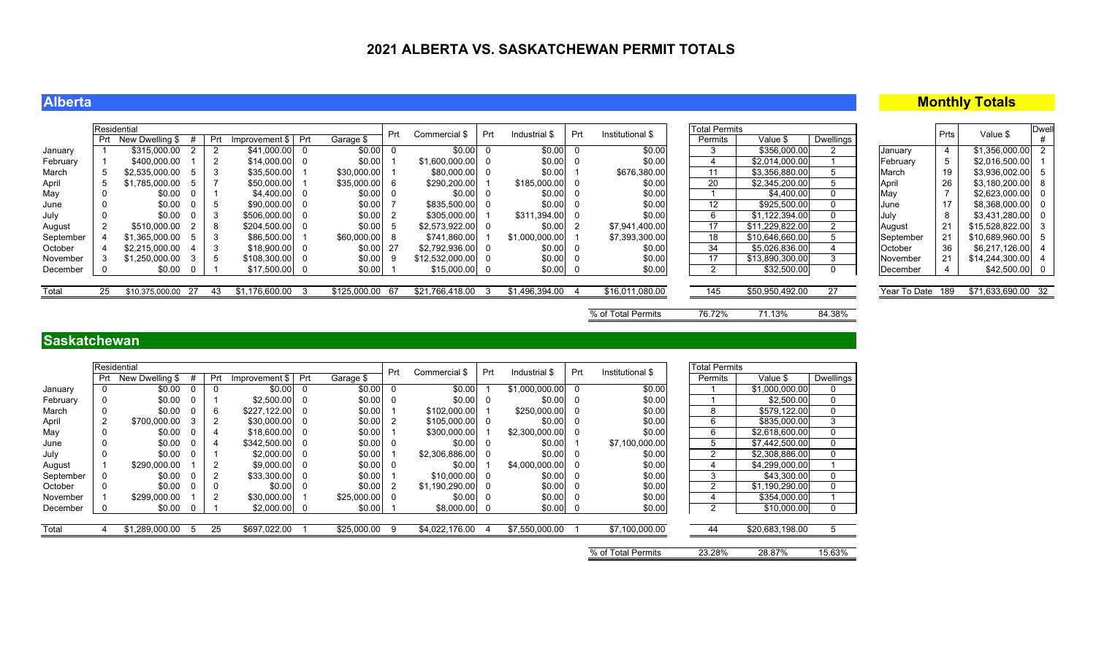### **Alberta**

## **Monthly Totals**

|           | Residential |                    |          |     |                      |     |              | Prt  | Commercial \$   | Prt | Industrial \$  | Prt | Institutional \$   | <b>Total Permits</b> |                 |           |                  | Prts | Value \$           | <b>Dwell</b> |
|-----------|-------------|--------------------|----------|-----|----------------------|-----|--------------|------|-----------------|-----|----------------|-----|--------------------|----------------------|-----------------|-----------|------------------|------|--------------------|--------------|
|           |             | New Dwelling \$#   |          | Prt | Improvement \$   Prt |     | Garage \$    |      |                 |     |                |     |                    | Permits              | Value \$        | Dwellings |                  |      |                    |              |
| January   |             | \$315,000.00       |          |     | $$41,000.00$ 0       |     | \$0.00       |      | \$0.00          |     | \$0.00         |     | \$0.00             |                      | \$356,000.00    |           | January          |      | \$1,356,000.00     |              |
| February  |             | \$400,000.00       |          |     | $$14,000.00$ 0       |     | \$0.00       |      | \$1,600,000.00  | - 0 | \$0.00         |     | \$0.00             |                      | \$2,014,000.00  |           | February         |      | \$2,016,500.00     |              |
| March     |             | \$2,535,000.00     |          | -3  | \$35,500.00          |     | \$30,000.00  |      | \$80,000.00     | - 0 | \$0.00         |     | \$676,380.00       | 11                   | \$3,356,880.00  |           | March            | 19   | \$3,936,002.00     |              |
| April     |             | \$1,785,000.00     | .5       |     | \$50,000.00          |     | \$35,000.00  | - 6  | \$290,200.00    |     | \$185,000.00   |     | \$0.00             | 20                   | \$2,345,200.00  |           | April            | 26   | \$3,180,200.00     |              |
| May       |             | \$0.00             |          |     | $$4,400.00$ 0        |     | \$0.00       |      | \$0.00          |     | \$0.00         |     | \$0.00             |                      | \$4,400.00      | $\Omega$  | May              |      | \$2,623,000.00     |              |
| June      |             | \$0.00             |          |     | \$90,000.00 0        |     | \$0.00       |      | \$835,500.00    |     | \$0.00         |     | \$0.00             | $12 \overline{ }$    | \$925,500.00    | 0         | June             |      | \$8,368,000.00     |              |
| July      |             | \$0.00             |          |     | \$506,000.00 0       |     | \$0.00       |      | \$305,000.00    |     | \$311,394.00   |     | \$0.00             | 6                    | \$1,122,394.00  | $\Omega$  | July             |      | \$3,431,280.00     |              |
| August    |             | \$510,000.00       |          | -8  | \$204,500.00 0       |     | \$0.00       |      | \$2,573,922.00  | - 0 | \$0.00         |     | \$7,941,400.00     | 17                   | \$11,229,822.00 |           | August           | 21   | $$15,528,822.00$ 3 |              |
| September |             | \$1,365,000.00     |          |     | \$86,500.00          |     | \$60,000.00  |      | \$741,860.00    |     | \$1,000,000.00 |     | \$7,393,300.00     | 18                   | \$10,646,660.00 |           | September        | 21   | \$10,689,960.00    |              |
| October   |             | \$2.215.000.00     |          |     | $$18,900.00$ 0       |     | \$0.00       | -27  | \$2,792,936.00  |     | \$0.00         |     | \$0.00             | 34                   | \$5,026,836.00  |           | October          | 36   | \$6,217,126.00     |              |
| November  |             | \$1,250,000.00     | 3        | -5  | $$108,300.00$ 0      |     | \$0.00       |      | \$12,532,000.00 | 0   | \$0.00         |     | \$0.00             | 17                   | \$13,890,300.00 |           | November         | 21   | \$14,244,300.00    |              |
| December  |             | \$0.00             | <b>U</b> |     | $$17,500.00$ 0       |     | \$0.00       |      | $$15,000.00$ 0  |     | \$0.00         |     | \$0.00             |                      | \$32,500.00     | 0         | December         |      | $$42,500.00$ 0     |              |
|           |             |                    |          |     |                      |     |              |      |                 |     |                |     |                    |                      |                 |           |                  |      |                    |              |
| Total     | 25          | \$10,375,000.00 27 |          | 43  | \$1,176,600.00       | - 3 | \$125,000.00 | - 67 | \$21,766,418.00 | 3   | \$1,496,394.00 |     | \$16,011,080.00    | 145                  | \$50,950,492.00 | 27        | Year To Date 189 |      | \$71,633,690.00 32 |              |
|           |             |                    |          |     |                      |     |              |      |                 |     |                |     |                    |                      |                 |           |                  |      |                    |              |
|           |             |                    |          |     |                      |     |              |      |                 |     |                |     | % of Total Permits | 76.72%               | 71.13%          | 84.38%    |                  |      |                    |              |

## **Saskatchewan**

|           |     | Residential     |   |                |                |          |             | Prt      | Commercial \$  | Prt | Industrial \$  | Prt | Institutional \$   | <b>Total Permits</b> |                 |                  |
|-----------|-----|-----------------|---|----------------|----------------|----------|-------------|----------|----------------|-----|----------------|-----|--------------------|----------------------|-----------------|------------------|
|           | Prt | New Dwelling \$ |   | Prt            | Improvement \$ | Prt      | Garage \$   |          |                |     |                |     |                    | Permits              | Value \$        | <b>Dwellings</b> |
| January   | 0   | \$0.00          |   | 0              | \$0.00         | 0        | \$0.00      | $\Omega$ | \$0.00         |     | \$1,000,000.00 |     | \$0.00             |                      | \$1,000,000.00  | 0                |
| February  | 0   | \$0.00          |   |                | \$2,500.00     | $\Omega$ | \$0.00      | 0        | \$0.00         | 0   | \$0.00         |     | \$0.00             |                      | \$2,500.00      | 0                |
| March     | 0   | \$0.00          |   | 6              | \$227.122.00   | $\Omega$ | \$0.00      |          | \$102.000.00   |     | \$250,000.00   |     | \$0.00             | 8                    | \$579,122.00    | 0                |
| April     | 2   | \$700.000.00    | 3 | 2              | \$30,000.00    | - 0      | \$0.00      |          | \$105,000.00   | 0   | \$0.00         |     | \$0.00             | 6                    | \$835,000.00    | 3                |
| May       | 0   | \$0.00          |   | 4              | \$18,600.00    | - 0      | \$0.00      |          | \$300,000.00   |     | \$2,300,000.00 |     | \$0.00             | 6                    | \$2,618,600.00  | 0                |
| June      | 0   | \$0.00          |   | 4              | \$342,500.00   | - 0      | \$0.00      | - 0      | \$0.00         | 0   | \$0.00         |     | \$7,100,000.00     | 5.                   | \$7,442,500.00  | 0                |
| July      | 0   | \$0.00          |   |                | \$2,000.00     | - 0      | \$0.00      |          | \$2,306,886.00 | - 0 | \$0.00         |     | \$0.00             | 2                    | \$2,308,886.00  | 0                |
| August    |     | \$290,000.00    |   | $\overline{2}$ | \$9,000.00     | - 0      | \$0.00      | - 0      | \$0.00         |     | \$4,000,000.00 |     | \$0.00             | 4                    | \$4,299,000.00  |                  |
| September | 0   | \$0.00          | 0 | 2              | \$33,300.00    | - 0      | \$0.00      |          | \$10,000.00    | 0   | \$0.00         |     | \$0.00             | 3                    | \$43,300.00     | $\mathbf{0}$     |
| October   | 0   | \$0.00          |   | 0              | \$0.00         | 0        | \$0.00      |          | \$1,190,290.00 | 0   | \$0.00         |     | \$0.00             | 2                    | \$1,190,290.00  | 0                |
| November  |     | \$299,000.00    |   | 2              | \$30,000.00    |          | \$25,000.00 | - 0      | \$0.00         | 0   | \$0.00         |     | \$0.00             | 4                    | \$354,000.00    |                  |
| December  | 0   | \$0.00          |   |                | \$2,000.00     | - 0      | \$0.00      |          | \$8,000.00     | - 0 | \$0.00         |     | \$0.00             | 2                    | \$10,000.00     | $\Omega$         |
|           |     |                 |   |                |                |          |             |          |                |     |                |     |                    |                      |                 |                  |
| Total     |     | \$1,289,000.00  |   | 25             | \$697,022.00   |          | \$25,000.00 | 9        | \$4,022,176.00 |     | \$7,550,000.00 |     | \$7,100,000.00     | 44                   | \$20,683,198.00 | 5                |
|           |     |                 |   |                |                |          |             |          |                |     |                |     |                    |                      |                 |                  |
|           |     |                 |   |                |                |          |             |          |                |     |                |     | % of Total Permits | 23.28%               | 28.87%          | 15.63%           |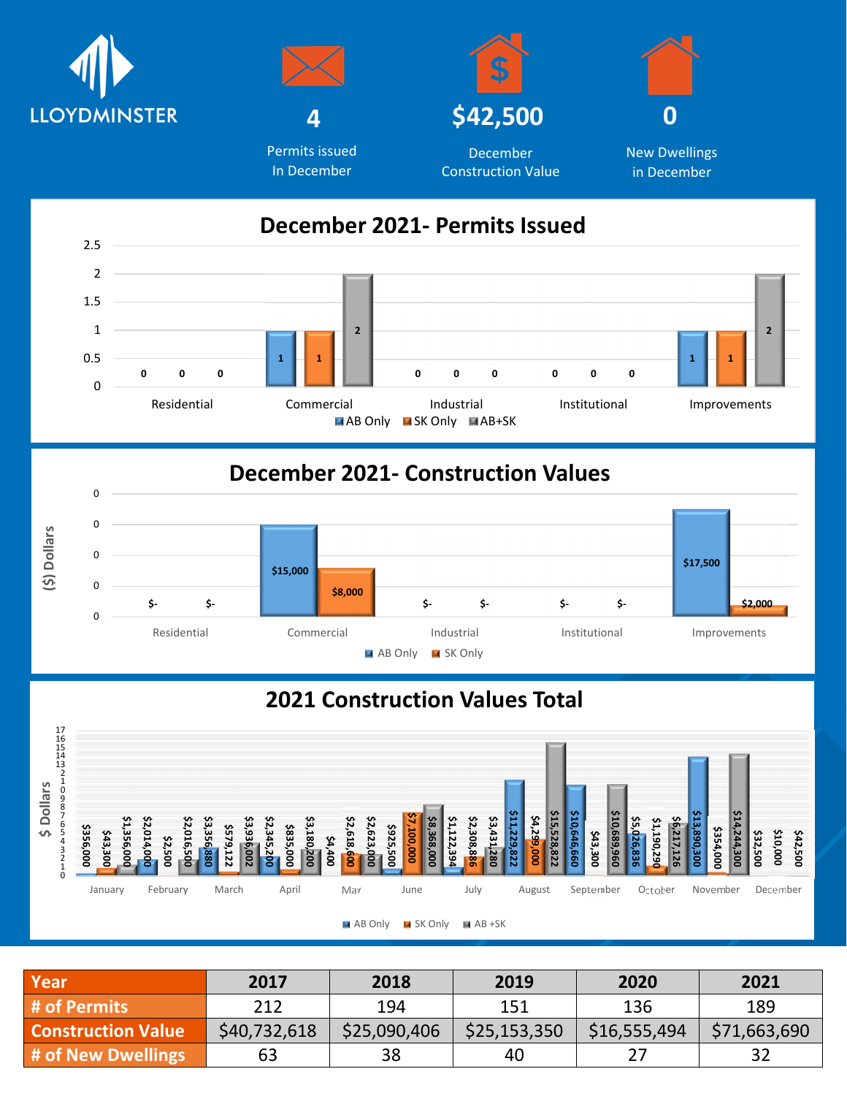



Permits issued In December





December Construction Value



## **December 2021- Construction Values**



## **2021 Construction Values Total**



| Year                      | 2017         | 2018         | 2019         | 2020         | 2021         |
|---------------------------|--------------|--------------|--------------|--------------|--------------|
| # of Permits              | 212          | 194          | 151          | 136          | 189          |
| <b>Construction Value</b> | \$40,732,618 | \$25,090,406 | \$25,153,350 | \$16,555,494 | \$71,663,690 |
| # of New Dwellings        | 63           | 38           | 40           |              |              |